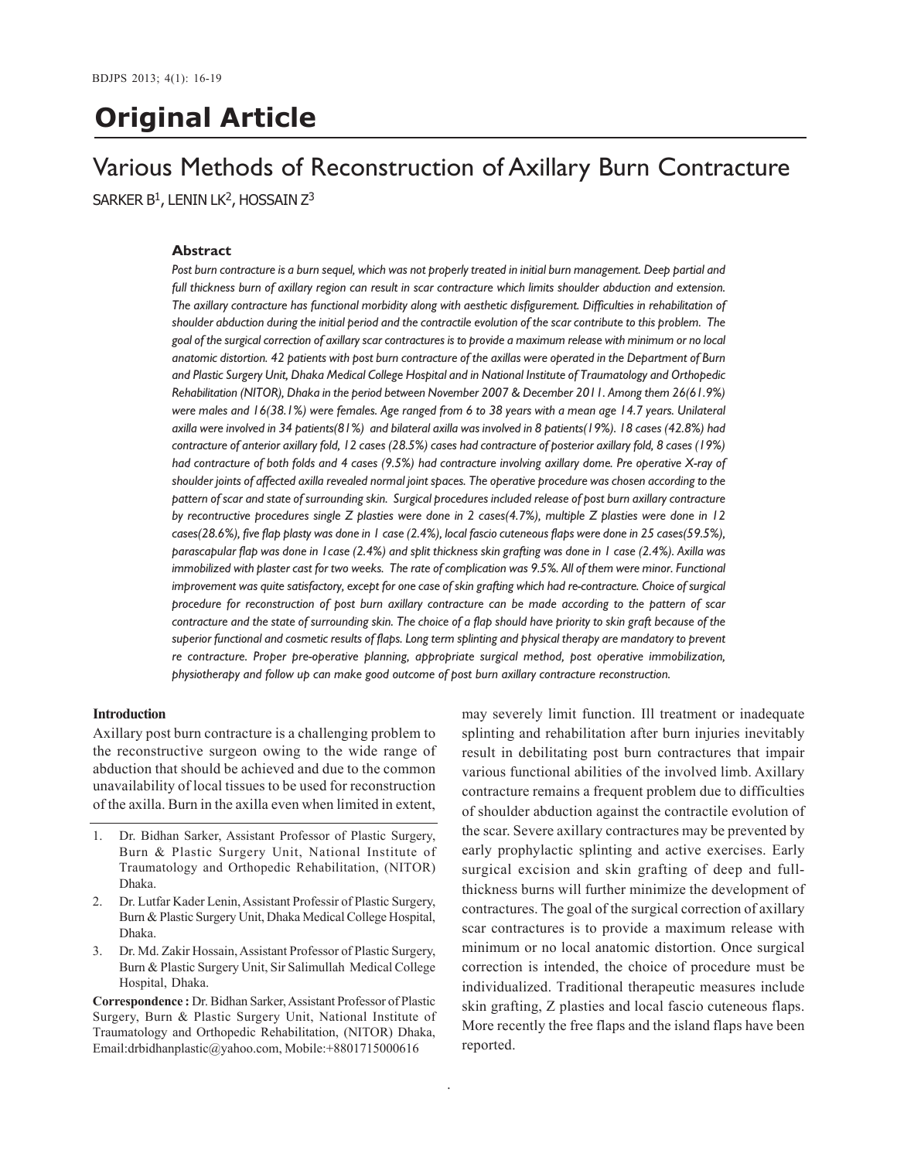# **Original Article**

## Various Methods of Reconstruction of Axillary Burn Contracture SARKER  $B^1$ , LENIN LK<sup>2</sup>, HOSSAIN Z<sup>3</sup>

### **Abstract**

*Post burn contracture is a burn sequel, which was not properly treated in initial burn management. Deep partial and full thickness burn of axillary region can result in scar contracture which limits shoulder abduction and extension. The axillary contracture has functional morbidity along with aesthetic disfigurement. Difficulties in rehabilitation of shoulder abduction during the initial period and the contractile evolution of the scar contribute to this problem. The goal of the surgical correction of axillary scar contractures is to provide a maximum release with minimum or no local anatomic distortion. 42 patients with post burn contracture of the axillas were operated in the Department of Burn and Plastic Surgery Unit, Dhaka Medical College Hospital and in National Institute of Traumatology and Orthopedic Rehabilitation (NITOR), Dhaka in the period between November 2007 & December 2011. Among them 26(61.9%) were males and 16(38.1%) were females. Age ranged from 6 to 38 years with a mean age 14.7 years. Unilateral axilla were involved in 34 patients(81%) and bilateral axilla was involved in 8 patients(19%). 18 cases (42.8%) had contracture of anterior axillary fold, 12 cases (28.5%) cases had contracture of posterior axillary fold, 8 cases (19%) had contracture of both folds and 4 cases (9.5%) had contracture involving axillary dome. Pre operative X-ray of shoulder joints of affected axilla revealed normal joint spaces. The operative procedure was chosen according to the pattern of scar and state of surrounding skin. Surgical procedures included release of post burn axillary contracture by recontructive procedures single Z plasties were done in 2 cases(4.7%), multiple Z plasties were done in 12 cases(28.6%), five flap plasty was done in 1 case (2.4%), local fascio cuteneous flaps were done in 25 cases(59.5%), parascapular flap was done in 1case (2.4%) and split thickness skin grafting was done in 1 case (2.4%). Axilla was immobilized with plaster cast for two weeks. The rate of complication was 9.5%. All of them were minor. Functional improvement was quite satisfactory, except for one case of skin grafting which had re-contracture. Choice of surgical procedure for reconstruction of post burn axillary contracture can be made according to the pattern of scar contracture and the state of surrounding skin. The choice of a flap should have priority to skin graft because of the superior functional and cosmetic results of flaps. Long term splinting and physical therapy are mandatory to prevent re contracture. Proper pre-operative planning, appropriate surgical method, post operative immobilization, physiotherapy and follow up can make good outcome of post burn axillary contracture reconstruction.*

#### **Introduction**

Axillary post burn contracture is a challenging problem to the reconstructive surgeon owing to the wide range of abduction that should be achieved and due to the common unavailability of local tissues to be used for reconstruction of the axilla. Burn in the axilla even when limited in extent,

- 1. Dr. Bidhan Sarker, Assistant Professor of Plastic Surgery, Burn & Plastic Surgery Unit, National Institute of Traumatology and Orthopedic Rehabilitation, (NITOR) Dhaka.
- 2. Dr. Lutfar Kader Lenin, Assistant Professir of Plastic Surgery, Burn & Plastic Surgery Unit, Dhaka Medical College Hospital, Dhaka.
- 3. Dr. Md. Zakir Hossain, Assistant Professor of Plastic Surgery, Burn & Plastic Surgery Unit, Sir Salimullah Medical College Hospital, Dhaka.

**Correspondence :** Dr. Bidhan Sarker, Assistant Professor of Plastic Surgery, Burn & Plastic Surgery Unit, National Institute of Traumatology and Orthopedic Rehabilitation, (NITOR) Dhaka, Email:drbidhanplastic@yahoo.com, Mobile:+8801715000616

may severely limit function. Ill treatment or inadequate splinting and rehabilitation after burn injuries inevitably result in debilitating post burn contractures that impair various functional abilities of the involved limb. Axillary contracture remains a frequent problem due to difficulties of shoulder abduction against the contractile evolution of the scar. Severe axillary contractures may be prevented by early prophylactic splinting and active exercises. Early surgical excision and skin grafting of deep and fullthickness burns will further minimize the development of contractures. The goal of the surgical correction of axillary scar contractures is to provide a maximum release with minimum or no local anatomic distortion. Once surgical correction is intended, the choice of procedure must be individualized. Traditional therapeutic measures include skin grafting, Z plasties and local fascio cuteneous flaps. More recently the free flaps and the island flaps have been reported.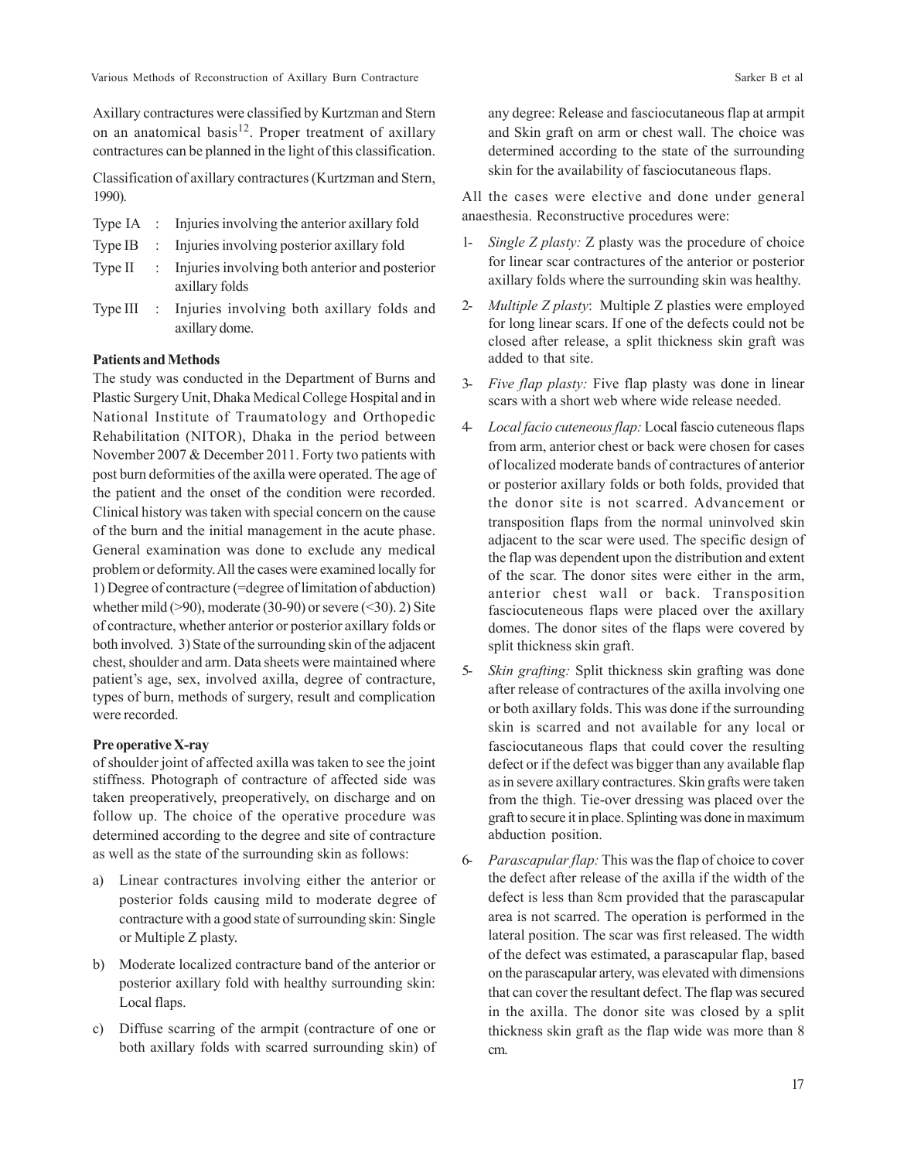Various Methods of Reconstruction of Axillary Burn Contracture Sarker B et al. Sarker B et al.

Axillary contractures were classified by Kurtzman and Stern on an anatomical basis<sup>12</sup>. Proper treatment of axillary contractures can be planned in the light of this classification.

Classification of axillary contractures (Kurtzman and Stern, 1990).

- Type IA : Injuries involving the anterior axillary fold
- Type IB : Injuries involving posterior axillary fold
- Type II : Injuries involving both anterior and posterior axillary folds
- Type III : Injuries involving both axillary folds and axillary dome.

## **Patients and Methods**

The study was conducted in the Department of Burns and Plastic Surgery Unit, Dhaka Medical College Hospital and in National Institute of Traumatology and Orthopedic Rehabilitation (NITOR), Dhaka in the period between November 2007 & December 2011. Forty two patients with post burn deformities of the axilla were operated. The age of the patient and the onset of the condition were recorded. Clinical history was taken with special concern on the cause of the burn and the initial management in the acute phase. General examination was done to exclude any medical problem or deformity. All the cases were examined locally for 1) Degree of contracture (=degree of limitation of abduction) whether mild  $(>90)$ , moderate  $(30-90)$  or severe  $( $30$ ). 2) Site$ of contracture, whether anterior or posterior axillary folds or both involved. 3) State of the surrounding skin of the adjacent chest, shoulder and arm. Data sheets were maintained where patient's age, sex, involved axilla, degree of contracture, types of burn, methods of surgery, result and complication were recorded.

## **Pre operative X-ray**

of shoulder joint of affected axilla was taken to see the joint stiffness. Photograph of contracture of affected side was taken preoperatively, preoperatively, on discharge and on follow up. The choice of the operative procedure was determined according to the degree and site of contracture as well as the state of the surrounding skin as follows:

- a) Linear contractures involving either the anterior or posterior folds causing mild to moderate degree of contracture with a good state of surrounding skin: Single or Multiple Z plasty.
- b) Moderate localized contracture band of the anterior or posterior axillary fold with healthy surrounding skin: Local flaps.
- c) Diffuse scarring of the armpit (contracture of one or both axillary folds with scarred surrounding skin) of

any degree: Release and fasciocutaneous flap at armpit and Skin graft on arm or chest wall. The choice was determined according to the state of the surrounding skin for the availability of fasciocutaneous flaps.

All the cases were elective and done under general anaesthesia. Reconstructive procedures were:

- 1- *Single Z plasty:* Z plasty was the procedure of choice for linear scar contractures of the anterior or posterior axillary folds where the surrounding skin was healthy.
- 2- *Multiple Z plasty*: Multiple Z plasties were employed for long linear scars. If one of the defects could not be closed after release, a split thickness skin graft was added to that site.
- 3- *Five flap plasty:* Five flap plasty was done in linear scars with a short web where wide release needed.
- 4- *Localfacio cuteneous flap:* Local fascio cuteneous flaps from arm, anterior chest or back were chosen for cases of localized moderate bands of contractures of anterior or posterior axillary folds or both folds, provided that the donor site is not scarred. Advancement or transposition flaps from the normal uninvolved skin adjacent to the scar were used. The specific design of the flap was dependent upon the distribution and extent of the scar. The donor sites were either in the arm, anterior chest wall or back. Transposition fasciocuteneous flaps were placed over the axillary domes. The donor sites of the flaps were covered by split thickness skin graft.
- 5- *Skin grafting:* Split thickness skin grafting was done after release of contractures of the axilla involving one or both axillary folds. This was done if the surrounding skin is scarred and not available for any local or fasciocutaneous flaps that could cover the resulting defect or if the defect was bigger than any available flap as in severe axillary contractures. Skin grafts were taken from the thigh. Tie-over dressing was placed over the graft to secure it in place. Splinting was done in maximum abduction position.
- 6- *Parascapular flap:* This was the flap of choice to cover the defect after release of the axilla if the width of the defect is less than 8cm provided that the parascapular area is not scarred. The operation is performed in the lateral position. The scar was first released. The width of the defect was estimated, a parascapular flap, based on the parascapular artery, was elevated with dimensions that can cover the resultant defect. The flap was secured in the axilla. The donor site was closed by a split thickness skin graft as the flap wide was more than 8 cm.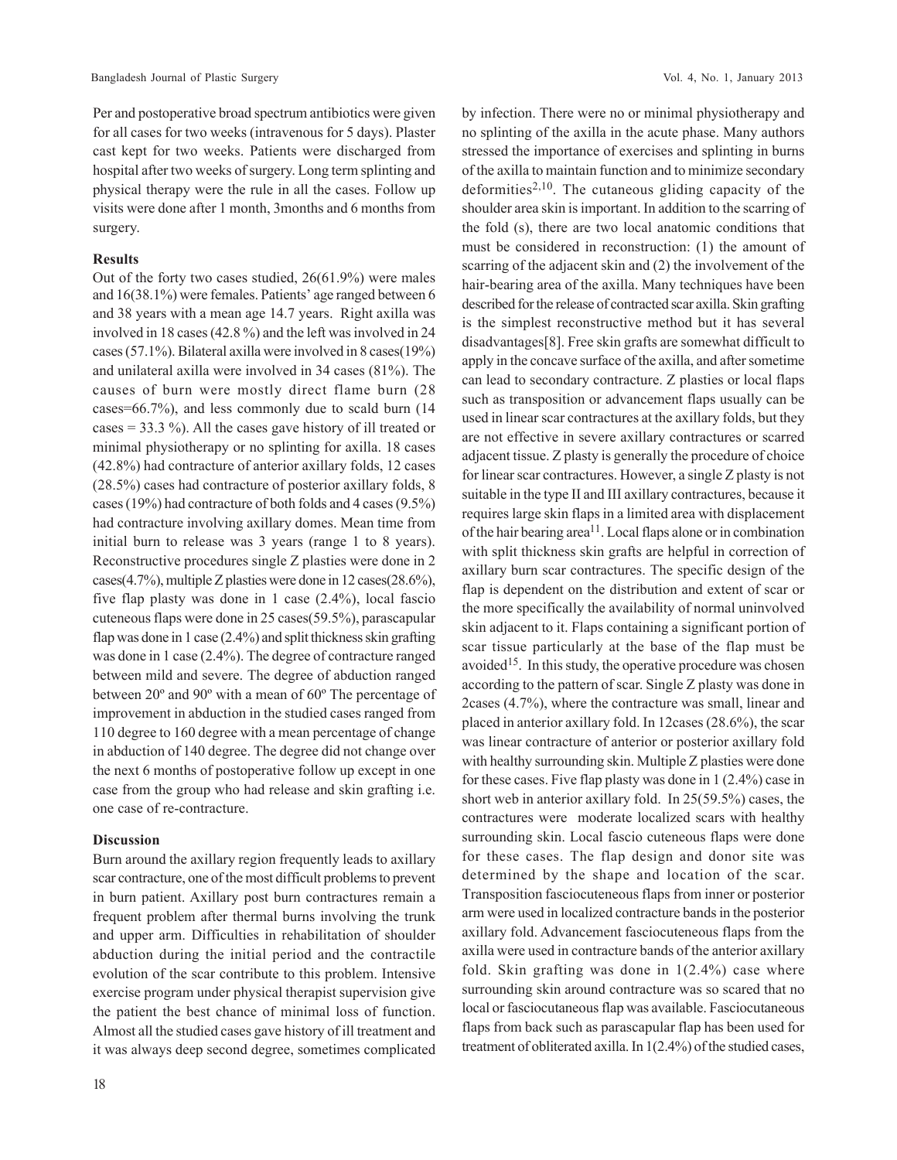Per and postoperative broad spectrum antibiotics were given for all cases for two weeks (intravenous for 5 days). Plaster cast kept for two weeks. Patients were discharged from hospital after two weeks of surgery. Long term splinting and physical therapy were the rule in all the cases. Follow up visits were done after 1 month, 3months and 6 months from surgery.

## **Results**

Out of the forty two cases studied, 26(61.9%) were males and 16(38.1%) were females. Patients' age ranged between 6 and 38 years with a mean age 14.7 years. Right axilla was involved in 18 cases (42.8 %) and the left was involved in 24 cases (57.1%). Bilateral axilla were involved in 8 cases(19%) and unilateral axilla were involved in 34 cases (81%). The causes of burn were mostly direct flame burn (28 cases=66.7%), and less commonly due to scald burn (14 cases = 33.3 %). All the cases gave history of ill treated or minimal physiotherapy or no splinting for axilla. 18 cases (42.8%) had contracture of anterior axillary folds, 12 cases (28.5%) cases had contracture of posterior axillary folds, 8 cases (19%) had contracture of both folds and 4 cases (9.5%) had contracture involving axillary domes. Mean time from initial burn to release was 3 years (range 1 to 8 years). Reconstructive procedures single Z plasties were done in 2 cases(4.7%), multiple Z plasties were done in 12 cases(28.6%), five flap plasty was done in 1 case (2.4%), local fascio cuteneous flaps were done in 25 cases(59.5%), parascapular flap was done in 1 case (2.4%) and split thickness skin grafting was done in 1 case (2.4%). The degree of contracture ranged between mild and severe. The degree of abduction ranged between 20º and 90º with a mean of 60º The percentage of improvement in abduction in the studied cases ranged from 110 degree to 160 degree with a mean percentage of change in abduction of 140 degree. The degree did not change over the next 6 months of postoperative follow up except in one case from the group who had release and skin grafting i.e. one case of re-contracture.

## **Discussion**

Burn around the axillary region frequently leads to axillary scar contracture, one of the most difficult problems to prevent in burn patient. Axillary post burn contractures remain a frequent problem after thermal burns involving the trunk and upper arm. Difficulties in rehabilitation of shoulder abduction during the initial period and the contractile evolution of the scar contribute to this problem. Intensive exercise program under physical therapist supervision give the patient the best chance of minimal loss of function. Almost all the studied cases gave history of ill treatment and it was always deep second degree, sometimes complicated by infection. There were no or minimal physiotherapy and no splinting of the axilla in the acute phase. Many authors stressed the importance of exercises and splinting in burns of the axilla to maintain function and to minimize secondary deformities<sup>2,10</sup>. The cutaneous gliding capacity of the shoulder area skin is important. In addition to the scarring of the fold (s), there are two local anatomic conditions that must be considered in reconstruction: (1) the amount of scarring of the adjacent skin and (2) the involvement of the hair-bearing area of the axilla. Many techniques have been described for the release of contracted scar axilla. Skin grafting is the simplest reconstructive method but it has several disadvantages[8]. Free skin grafts are somewhat difficult to apply in the concave surface of the axilla, and after sometime can lead to secondary contracture. Z plasties or local flaps such as transposition or advancement flaps usually can be used in linear scar contractures at the axillary folds, but they are not effective in severe axillary contractures or scarred adjacent tissue. Z plasty is generally the procedure of choice for linear scar contractures. However, a single Z plasty is not suitable in the type II and III axillary contractures, because it requires large skin flaps in a limited area with displacement of the hair bearing area<sup>11</sup>. Local flaps alone or in combination with split thickness skin grafts are helpful in correction of axillary burn scar contractures. The specific design of the flap is dependent on the distribution and extent of scar or the more specifically the availability of normal uninvolved skin adjacent to it. Flaps containing a significant portion of scar tissue particularly at the base of the flap must be avoided<sup>15</sup>. In this study, the operative procedure was chosen according to the pattern of scar. Single Z plasty was done in 2cases (4.7%), where the contracture was small, linear and placed in anterior axillary fold. In 12cases (28.6%), the scar was linear contracture of anterior or posterior axillary fold with healthy surrounding skin. Multiple Z plasties were done for these cases. Five flap plasty was done in 1 (2.4%) case in short web in anterior axillary fold. In 25(59.5%) cases, the contractures were moderate localized scars with healthy surrounding skin. Local fascio cuteneous flaps were done for these cases. The flap design and donor site was determined by the shape and location of the scar. Transposition fasciocuteneous flaps from inner or posterior arm were used in localized contracture bands in the posterior axillary fold. Advancement fasciocuteneous flaps from the axilla were used in contracture bands of the anterior axillary fold. Skin grafting was done in  $1(2.4\%)$  case where surrounding skin around contracture was so scared that no local or fasciocutaneous flap was available. Fasciocutaneous flaps from back such as parascapular flap has been used for treatment of obliterated axilla. In 1(2.4%) of the studied cases,